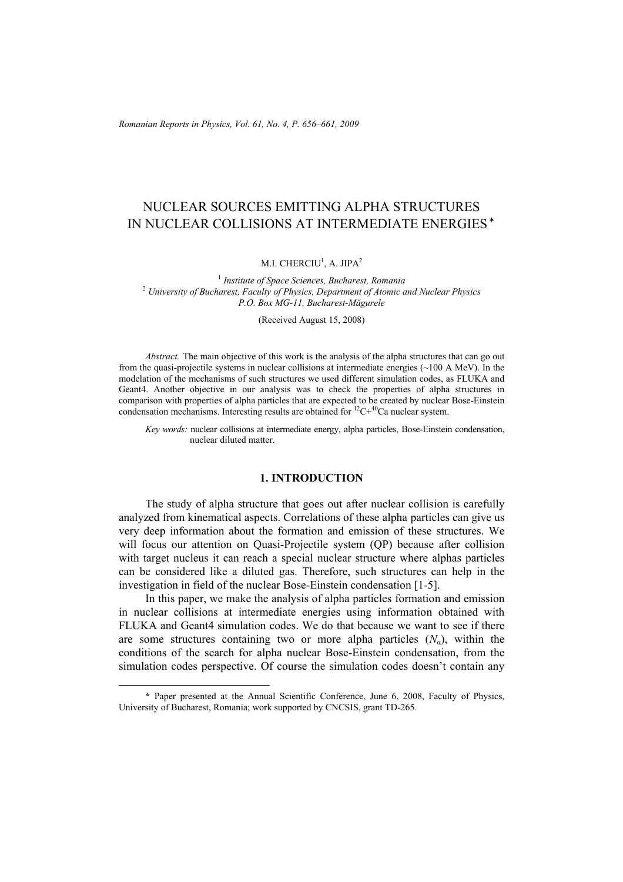*Romanian Reports in Physics, Vol. 61, No. 4, P. 656–661, 2009*

# NUCLEAR SOURCES EMITTING ALPHA STRUCTURES IN NUCLEAR COLLISIONS AT INTERMEDIATE ENERGIES✶

M.I. CHERCIU $^1$ , A. JIPA $^2$ 

<sup>1</sup> *Institute of Space Sciences, Bucharest, Romania* <sup>2</sup> *University of Bucharest, Faculty of Physics, Department of Atomic and Nuclear Physics P.O. Box MG-11, Bucharest-Măgurele* 

(Received August 15, 2008)

*Abstract.* The main objective of this work is the analysis of the alpha structures that can go out from the quasi-projectile systems in nuclear collisions at intermediate energies  $(\sim 100 \text{ A MeV})$ . In the modelation of the mechanisms of such structures we used different simulation codes, as FLUKA and Geant4. Another objective in our analysis was to check the properties of alpha structures in comparison with properties of alpha particles that are expected to be created by nuclear Bose-Einstein condensation mechanisms. Interesting results are obtained for  ${}^{12}C+{}^{40}Ca$  nuclear system.

*Key words:* nuclear collisions at intermediate energy, alpha particles, Bose-Einstein condensation, nuclear diluted matter.

## **1. INTRODUCTION**

The study of alpha structure that goes out after nuclear collision is carefully analyzed from kinematical aspects. Correlations of these alpha particles can give us very deep information about the formation and emission of these structures. We will focus our attention on Quasi-Projectile system (QP) because after collision with target nucleus it can reach a special nuclear structure where alphas particles can be considered like a diluted gas. Therefore, such structures can help in the investigation in field of the nuclear Bose-Einstein condensation [1-5].

In this paper, we make the analysis of alpha particles formation and emission in nuclear collisions at intermediate energies using information obtained with FLUKA and Geant4 simulation codes. We do that because we want to see if there are some structures containing two or more alpha particles  $(N_a)$ , within the conditions of the search for alpha nuclear Bose-Einstein condensation, from the simulation codes perspective. Of course the simulation codes doesn't contain any

 $\overline{a}$ 

**<sup>\*</sup>** Paper presented at the Annual Scientific Conference, June 6, 2008, Faculty of Physics, University of Bucharest, Romania; work supported by CNCSIS, grant TD-265.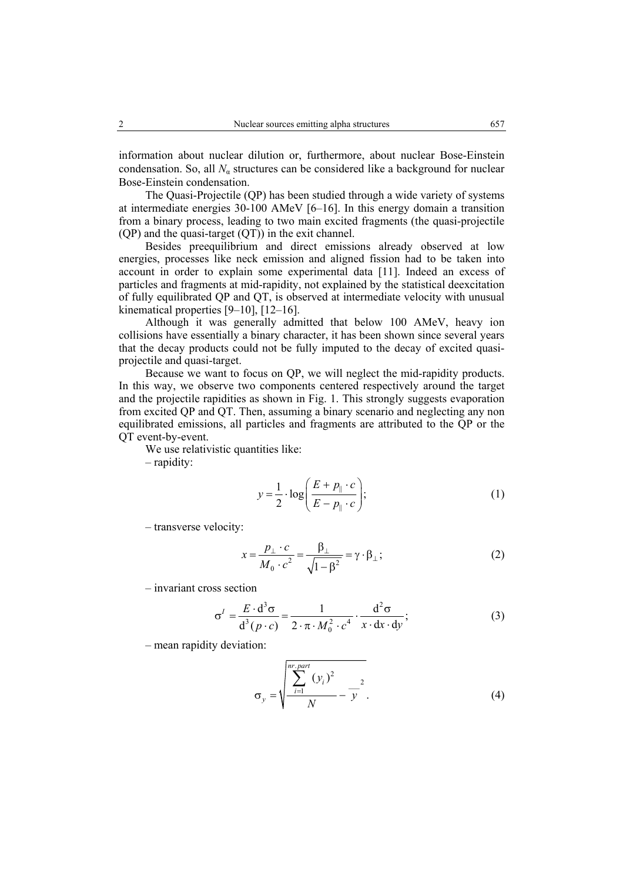information about nuclear dilution or, furthermore, about nuclear Bose-Einstein condensation. So, all  $N_a$  structures can be considered like a background for nuclear

Bose-Einstein condensation. The Quasi-Projectile (QP) has been studied through a wide variety of systems at intermediate energies 30-100 AMeV [6–16]. In this energy domain a transition from a binary process, leading to two main excited fragments (the quasi-projectile (QP) and the quasi-target (QT)) in the exit channel.

Besides preequilibrium and direct emissions already observed at low energies, processes like neck emission and aligned fission had to be taken into account in order to explain some experimental data [11]. Indeed an excess of particles and fragments at mid-rapidity, not explained by the statistical deexcitation of fully equilibrated QP and QT, is observed at intermediate velocity with unusual kinematical properties [9–10], [12–16].

Although it was generally admitted that below 100 AMeV, heavy ion collisions have essentially a binary character, it has been shown since several years that the decay products could not be fully imputed to the decay of excited quasiprojectile and quasi-target.

Because we want to focus on QP, we will neglect the mid-rapidity products. In this way, we observe two components centered respectively around the target and the projectile rapidities as shown in Fig. 1. This strongly suggests evaporation from excited QP and QT. Then, assuming a binary scenario and neglecting any non equilibrated emissions, all particles and fragments are attributed to the QP or the QT event-by-event.

We use relativistic quantities like:

– rapidity:

$$
y = \frac{1}{2} \cdot \log \left( \frac{E + p_{\parallel} \cdot c}{E - p_{\parallel} \cdot c} \right);
$$
 (1)

– transverse velocity:

$$
x = \frac{p_{\perp} \cdot c}{M_0 \cdot c^2} = \frac{\beta_{\perp}}{\sqrt{1 - \beta^2}} = \gamma \cdot \beta_{\perp};
$$
 (2)

– invariant cross section

$$
\sigma^I = \frac{E \cdot d^3 \sigma}{d^3 (p \cdot c)} = \frac{1}{2 \cdot \pi \cdot M_0^2 \cdot c^4} \cdot \frac{d^2 \sigma}{x \cdot dx \cdot dy};
$$
(3)

– mean rapidity deviation:

$$
\sigma_{y} = \sqrt{\frac{\sum_{i=1}^{nr:part} (y_{i})^{2}}{N} - \frac{2}{y^{2}}}.
$$
 (4)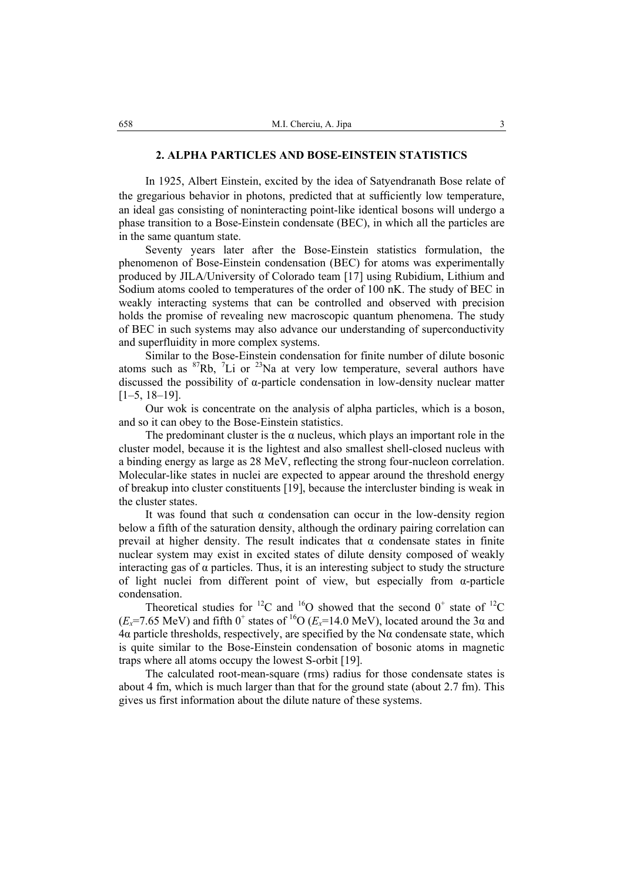#### **2. ALPHA PARTICLES AND BOSE-EINSTEIN STATISTICS**

In 1925, Albert Einstein, excited by the idea of Satyendranath Bose relate of the gregarious behavior in photons, predicted that at sufficiently low temperature, an ideal gas consisting of noninteracting point-like identical bosons will undergo a phase transition to a Bose-Einstein condensate (BEC), in which all the particles are in the same quantum state.

Seventy years later after the Bose-Einstein statistics formulation, the phenomenon of Bose-Einstein condensation (BEC) for atoms was experimentally produced by JILA/University of Colorado team [17] using Rubidium, Lithium and Sodium atoms cooled to temperatures of the order of 100 nK. The study of BEC in weakly interacting systems that can be controlled and observed with precision holds the promise of revealing new macroscopic quantum phenomena. The study of BEC in such systems may also advance our understanding of superconductivity and superfluidity in more complex systems.

Similar to the Bose-Einstein condensation for finite number of dilute bosonic atoms such as  ${}^{87}Rb$ , <sup>7</sup>Li or  ${}^{23}Na$  at very low temperature, several authors have discussed the possibility of α-particle condensation in low-density nuclear matter [1–5, 18–19].

Our wok is concentrate on the analysis of alpha particles, which is a boson, and so it can obey to the Bose-Einstein statistics.

The predominant cluster is the  $\alpha$  nucleus, which plays an important role in the cluster model, because it is the lightest and also smallest shell-closed nucleus with a binding energy as large as 28 MeV, reflecting the strong four-nucleon correlation. Molecular-like states in nuclei are expected to appear around the threshold energy of breakup into cluster constituents [19], because the intercluster binding is weak in the cluster states.

It was found that such  $\alpha$  condensation can occur in the low-density region below a fifth of the saturation density, although the ordinary pairing correlation can prevail at higher density. The result indicates that  $\alpha$  condensate states in finite nuclear system may exist in excited states of dilute density composed of weakly interacting gas of  $\alpha$  particles. Thus, it is an interesting subject to study the structure of light nuclei from different point of view, but especially from α-particle condensation.

Theoretical studies for <sup>12</sup>C and <sup>16</sup>O showed that the second  $0^+$  state of <sup>12</sup>C  $(E_x=7.65 \text{ MeV})$  and fifth 0<sup>+</sup> states of <sup>16</sup>O ( $E_x=14.0 \text{ MeV}$ ), located around the 3 $\alpha$  and  $4\alpha$  particle thresholds, respectively, are specified by the N $\alpha$  condensate state, which is quite similar to the Bose-Einstein condensation of bosonic atoms in magnetic traps where all atoms occupy the lowest S-orbit [19].

The calculated root-mean-square (rms) radius for those condensate states is about 4 fm, which is much larger than that for the ground state (about 2.7 fm). This gives us first information about the dilute nature of these systems.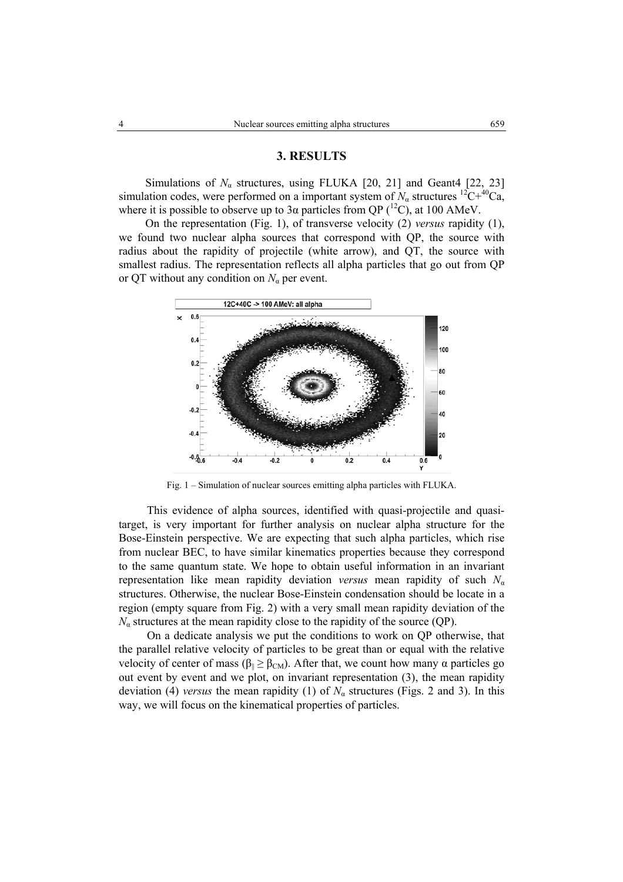## **3. RESULTS**

Simulations of  $N_a$  structures, using FLUKA [20, 21] and Geant4 [22, 23] simulation codes, were performed on a important system of  $N_a$  structures  ${}^{12}C+{}^{40}Ca$ , where it is possible to observe up to 3 $\alpha$  particles from QP (<sup>12</sup>C), at 100 AMeV.

On the representation (Fig. 1), of transverse velocity (2) *versus* rapidity (1), we found two nuclear alpha sources that correspond with QP, the source with radius about the rapidity of projectile (white arrow), and QT, the source with smallest radius. The representation reflects all alpha particles that go out from QP or QT without any condition on  $N_\alpha$  per event.



Fig. 1 – Simulation of nuclear sources emitting alpha particles with FLUKA.

This evidence of alpha sources, identified with quasi-projectile and quasitarget, is very important for further analysis on nuclear alpha structure for the Bose-Einstein perspective. We are expecting that such alpha particles, which rise from nuclear BEC, to have similar kinematics properties because they correspond to the same quantum state. We hope to obtain useful information in an invariant representation like mean rapidity deviation *versus* mean rapidity of such *N*<sup>α</sup> structures. Otherwise, the nuclear Bose-Einstein condensation should be locate in a region (empty square from Fig. 2) with a very small mean rapidity deviation of the  $N_a$  structures at the mean rapidity close to the rapidity of the source (QP).

On a dedicate analysis we put the conditions to work on QP otherwise, that the parallel relative velocity of particles to be great than or equal with the relative velocity of center of mass ( $β_{\parallel} ≥ β_{\text{CM}}$ ). After that, we count how many α particles go out event by event and we plot, on invariant representation (3), the mean rapidity deviation (4) *versus* the mean rapidity (1) of  $N_a$  structures (Figs. 2 and 3). In this way, we will focus on the kinematical properties of particles.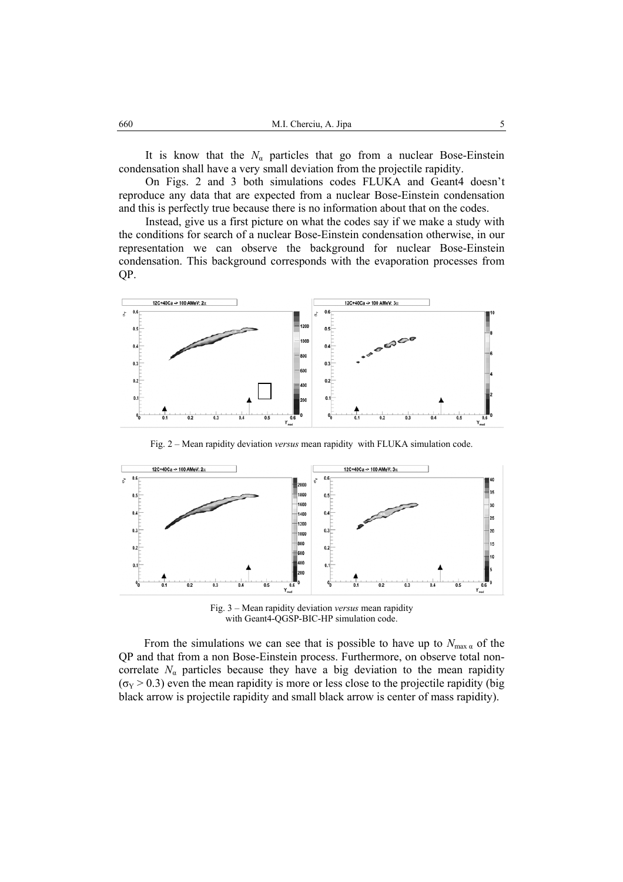It is know that the  $N_a$  particles that go from a nuclear Bose-Einstein condensation shall have a very small deviation from the projectile rapidity.

On Figs. 2 and 3 both simulations codes FLUKA and Geant4 doesn't reproduce any data that are expected from a nuclear Bose-Einstein condensation and this is perfectly true because there is no information about that on the codes.

Instead, give us a first picture on what the codes say if we make a study with the conditions for search of a nuclear Bose-Einstein condensation otherwise, in our representation we can observe the background for nuclear Bose-Einstein condensation. This background corresponds with the evaporation processes from QP.



Fig. 2 – Mean rapidity deviation *versus* mean rapidity with FLUKA simulation code.



Fig. 3 – Mean rapidity deviation *versus* mean rapidity with Geant4-QGSP-BIC-HP simulation code.

From the simulations we can see that is possible to have up to  $N_{\text{max } \alpha}$  of the QP and that from a non Bose-Einstein process. Furthermore, on observe total noncorrelate  $N_a$  particles because they have a big deviation to the mean rapidity  $(\sigma_Y > 0.3)$  even the mean rapidity is more or less close to the projectile rapidity (big black arrow is projectile rapidity and small black arrow is center of mass rapidity).